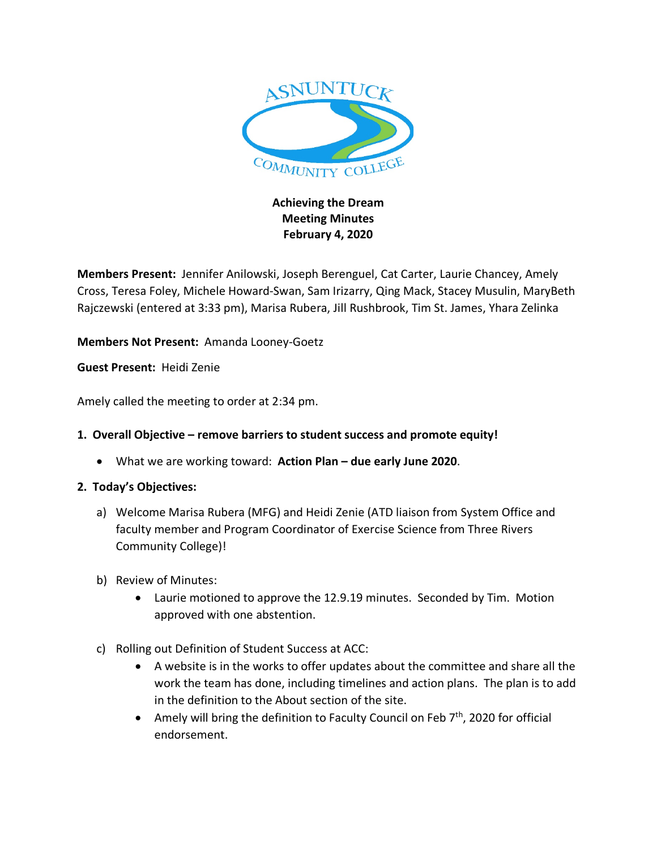

## **Achieving the Dream Meeting Minutes February 4, 2020**

**Members Present:** Jennifer Anilowski, Joseph Berenguel, Cat Carter, Laurie Chancey, Amely Cross, Teresa Foley, Michele Howard-Swan, Sam Irizarry, Qing Mack, Stacey Musulin, MaryBeth Rajczewski (entered at 3:33 pm), Marisa Rubera, Jill Rushbrook, Tim St. James, Yhara Zelinka

**Members Not Present:** Amanda Looney-Goetz

**Guest Present:** Heidi Zenie

Amely called the meeting to order at 2:34 pm.

## **1. Overall Objective – remove barriers to student success and promote equity!**

• What we are working toward: **Action Plan – due early June 2020**.

## **2. Today's Objectives:**

- a) Welcome Marisa Rubera (MFG) and Heidi Zenie (ATD liaison from System Office and faculty member and Program Coordinator of Exercise Science from Three Rivers Community College)!
- b) Review of Minutes:
	- Laurie motioned to approve the 12.9.19 minutes. Seconded by Tim. Motion approved with one abstention.
- c) Rolling out Definition of Student Success at ACC:
	- A website is in the works to offer updates about the committee and share all the work the team has done, including timelines and action plans. The plan is to add in the definition to the About section of the site.
	- Amely will bring the definition to Faculty Council on Feb  $7<sup>th</sup>$ , 2020 for official endorsement.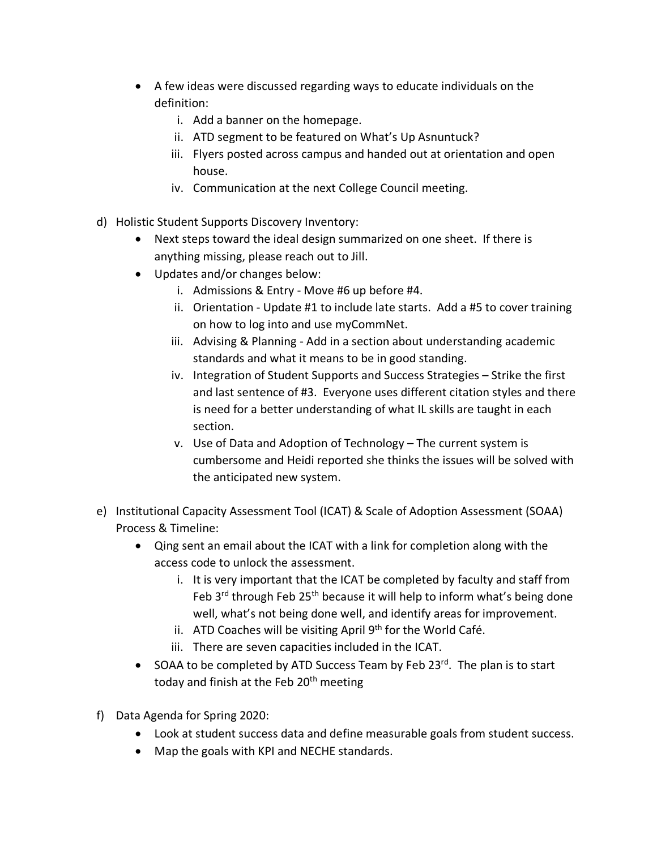- A few ideas were discussed regarding ways to educate individuals on the definition:
	- i. Add a banner on the homepage.
	- ii. ATD segment to be featured on What's Up Asnuntuck?
	- iii. Flyers posted across campus and handed out at orientation and open house.
	- iv. Communication at the next College Council meeting.
- d) Holistic Student Supports Discovery Inventory:
	- Next steps toward the ideal design summarized on one sheet. If there is anything missing, please reach out to Jill.
	- Updates and/or changes below:
		- i. Admissions & Entry Move #6 up before #4.
		- ii. Orientation Update #1 to include late starts. Add a #5 to cover training on how to log into and use myCommNet.
		- iii. Advising & Planning Add in a section about understanding academic standards and what it means to be in good standing.
		- iv. Integration of Student Supports and Success Strategies Strike the first and last sentence of #3. Everyone uses different citation styles and there is need for a better understanding of what IL skills are taught in each section.
		- v. Use of Data and Adoption of Technology The current system is cumbersome and Heidi reported she thinks the issues will be solved with the anticipated new system.
- e) Institutional Capacity Assessment Tool (ICAT) & Scale of Adoption Assessment (SOAA) Process & Timeline:
	- Qing sent an email about the ICAT with a link for completion along with the access code to unlock the assessment.
		- i. It is very important that the ICAT be completed by faculty and staff from Feb 3<sup>rd</sup> through Feb 25<sup>th</sup> because it will help to inform what's being done well, what's not being done well, and identify areas for improvement.
		- ii. ATD Coaches will be visiting April  $9<sup>th</sup>$  for the World Café.
		- iii. There are seven capacities included in the ICAT.
	- SOAA to be completed by ATD Success Team by Feb  $23^{rd}$ . The plan is to start today and finish at the Feb 20<sup>th</sup> meeting
- f) Data Agenda for Spring 2020:
	- Look at student success data and define measurable goals from student success.
	- Map the goals with KPI and NECHE standards.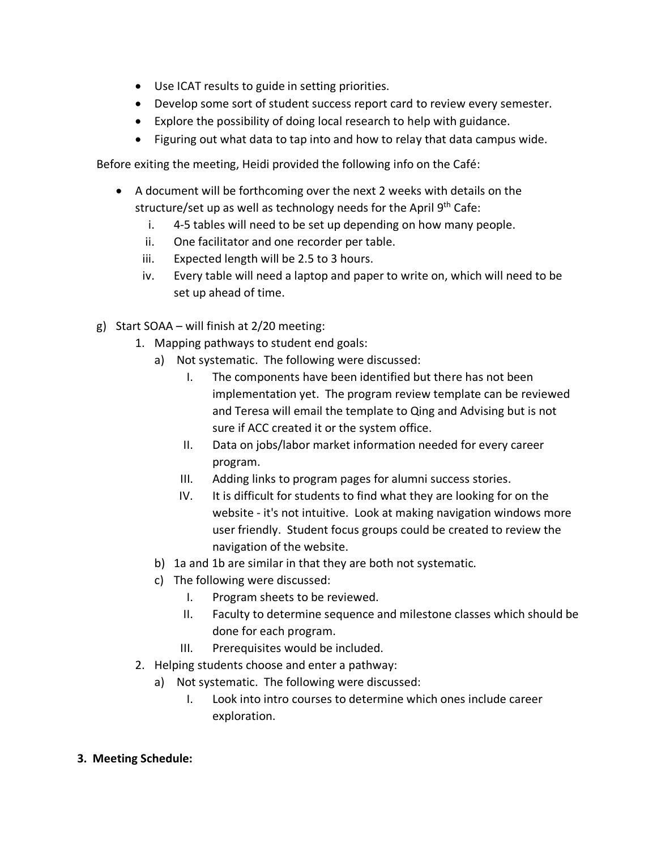- Use ICAT results to guide in setting priorities.
- Develop some sort of student success report card to review every semester.
- Explore the possibility of doing local research to help with guidance.
- Figuring out what data to tap into and how to relay that data campus wide.

Before exiting the meeting, Heidi provided the following info on the Café:

- A document will be forthcoming over the next 2 weeks with details on the structure/set up as well as technology needs for the April  $9<sup>th</sup>$  Cafe:
	- i. 4-5 tables will need to be set up depending on how many people.
	- ii. One facilitator and one recorder per table.
	- iii. Expected length will be 2.5 to 3 hours.
	- iv. Every table will need a laptop and paper to write on, which will need to be set up ahead of time.
- g) Start SOAA will finish at 2/20 meeting:
	- 1. Mapping pathways to student end goals:
		- a) Not systematic. The following were discussed:
			- I. The components have been identified but there has not been implementation yet. The program review template can be reviewed and Teresa will email the template to Qing and Advising but is not sure if ACC created it or the system office.
			- II. Data on jobs/labor market information needed for every career program.
			- III. Adding links to program pages for alumni success stories.
			- IV. It is difficult for students to find what they are looking for on the website - it's not intuitive. Look at making navigation windows more user friendly. Student focus groups could be created to review the navigation of the website.
		- b) 1a and 1b are similar in that they are both not systematic.
		- c) The following were discussed:
			- I. Program sheets to be reviewed.
			- II. Faculty to determine sequence and milestone classes which should be done for each program.
			- III. Prerequisites would be included.
	- 2. Helping students choose and enter a pathway:
		- a) Not systematic. The following were discussed:
			- I. Look into intro courses to determine which ones include career exploration.
- **3. Meeting Schedule:**